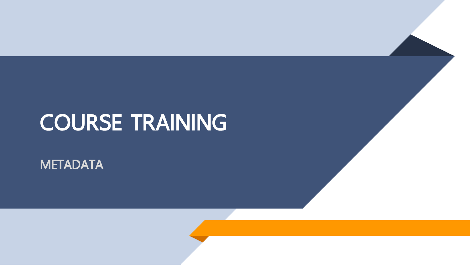# COURSE TRAINING

METADATA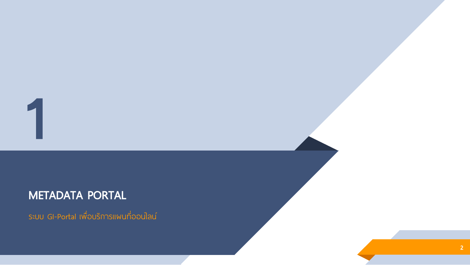METADATA PORTAL ระบบ GI-Portal เพื่อบริการแพนที่ออนไลน์

1

2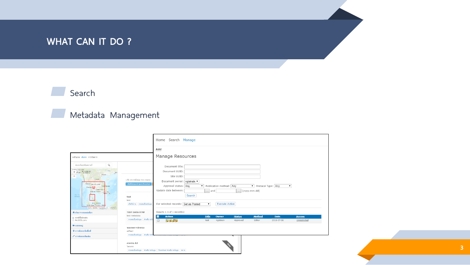## WHAT CAN IT DO ?

## **Search**

# ▰ Metadata Management

|                                                                                                                                                                                                                                                                                                                                                                                                                                                                                     |                                                                                                                  | Home Search Manage                                                                                                                                                                                                                                                                                                                  |  |  |  |  |
|-------------------------------------------------------------------------------------------------------------------------------------------------------------------------------------------------------------------------------------------------------------------------------------------------------------------------------------------------------------------------------------------------------------------------------------------------------------------------------------|------------------------------------------------------------------------------------------------------------------|-------------------------------------------------------------------------------------------------------------------------------------------------------------------------------------------------------------------------------------------------------------------------------------------------------------------------------------|--|--|--|--|
|                                                                                                                                                                                                                                                                                                                                                                                                                                                                                     |                                                                                                                  | Add                                                                                                                                                                                                                                                                                                                                 |  |  |  |  |
| หน้าแรก ค้นหา การจัดการ                                                                                                                                                                                                                                                                                                                                                                                                                                                             |                                                                                                                  | Manage Resources                                                                                                                                                                                                                                                                                                                    |  |  |  |  |
| ค้นหาที่อยู่หรือสถานที่<br>$\hbox{\ensuremath{\mathsf{Q}}}_\text{\tiny L}$<br><b>FANGLADESH</b><br>Xi Jong<br>$+$ $0°$ $0°$ $0°$ $0°$ $0°$ $0°$<br>Hor<br>Hanoi.<br>$\hspace{1.0cm} \rule{1.5cm}{0.15cm} \hspace{1.0cm} \rule{1.5cm}{0.15cm}$<br>. .<br>LAOS<br>Yangon THAILAND<br><b>VILTNAM</b><br><b>Band Common I</b><br>Phron Perh <sup>o</sup> Collection<br><b>Bay of</b><br>Benow<br><b>NALAYSIA</b><br>Shah Alan <sup>@</sup> Kusla Lunpar<br>Esri, HERE, Garmin, F., (18) | 1 6:10 sanfatus 7321 sanat<br>เพิ่มขั้นข้อมูลเข้าสู่แลนที่ออนไลน์<br>test<br>test<br>เปิดใช้งาน รายละเอียดข้อมูล | Document title:<br>Document UUID:<br>Site UUID:<br>Document owner: ngistrain<br>Publication method: Any<br>Approval status: Any<br>Protocol Type: Any<br>$\pmb{\mathrm{v}}$<br>Update date between:<br>(yyyy-mm-dd)<br>$\ldots$ and<br>Search<br>For selected records: Set as Posted<br><b>Execute Action</b><br>$\pmb{\mathrm{v}}$ |  |  |  |  |
| <del>ที่</del> ต้นหาจากแหล่งที่มา<br>@ จากที่ตั้งบัจจบัน<br>ArcGIS.com                                                                                                                                                                                                                                                                                                                                                                                                              | <b>TEST DATA RTAF</b><br>test metadata<br>รายละเอียดช่อมูล ตำอธิบายช่อ<br>ขอบเขตการปกครอง                        | Results 1-1 of 1 record(s)<br><b>Action</b><br>Method<br>П<br>Title<br><b>Status</b><br>* Date<br>Owner<br><b>Access</b><br>2018-07-08<br>Editor<br>test<br>ngistrain<br>Approved<br>Unrestricted                                                                                                                                   |  |  |  |  |
| imeno <sup>of</sup>                                                                                                                                                                                                                                                                                                                                                                                                                                                                 |                                                                                                                  | 9920<br>$\Box$                                                                                                                                                                                                                                                                                                                      |  |  |  |  |
| 9 การค้นหาเชิงพื้นที่                                                                                                                                                                                                                                                                                                                                                                                                                                                               | adfasd<br>รายละเลือดช่อมล คำอธิบายช่                                                                             |                                                                                                                                                                                                                                                                                                                                     |  |  |  |  |
| ♪ การค้นหาเพิ่มเติม                                                                                                                                                                                                                                                                                                                                                                                                                                                                 |                                                                                                                  |                                                                                                                                                                                                                                                                                                                                     |  |  |  |  |
|                                                                                                                                                                                                                                                                                                                                                                                                                                                                                     | $n$ าหต่าย A3<br>โครงการ                                                                                         | creature is graduated in the professor of the speed and the control of the state of the state of the state of the state of the state of the state of the state of the state of the state of the state of the state of the stat                                                                                                      |  |  |  |  |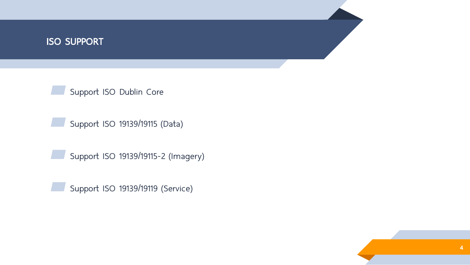## **ISO SUPPORT**

Support ISO Dublin Core

▰ Support ISO 19139/19115 (Data)

Support ISO 19139/19115-2 (Imagery)

▰ Support ISO 19139/19119 (Service)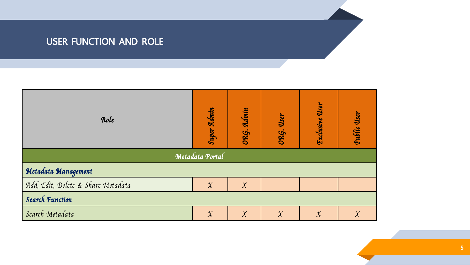# USER FUNCTION AND ROLE

| Role                               | Super Admin | ORG. Admin | ORG. User | Exclusive User | Public User |  |  |  |
|------------------------------------|-------------|------------|-----------|----------------|-------------|--|--|--|
| Metadata Portal                    |             |            |           |                |             |  |  |  |
| Metadata Management                |             |            |           |                |             |  |  |  |
| Add, Edit, Delete & Share Metadata | $\chi$      | $\chi$     |           |                |             |  |  |  |
| <b>Search Function</b>             |             |            |           |                |             |  |  |  |
| Search Metadata                    | $\chi$      | $\chi$     | $\chi$    | $\chi$         | $\chi$      |  |  |  |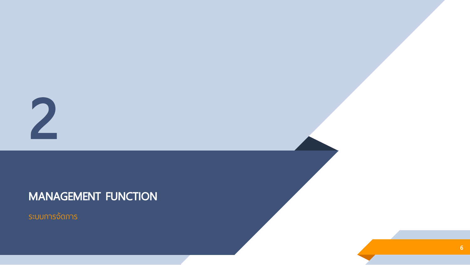2

# MANAGEMENT FUNCTION

ระบบการจัดการ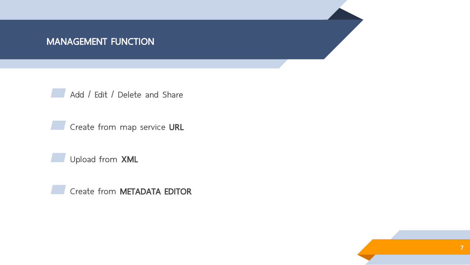### MANAGEMENT FUNCTION

Add / Edit / Delete and Share

**Create from map service URL** 

Upload from **XML** 

Create from **METADATA EDITOR** 

7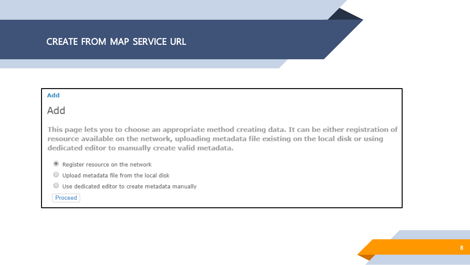#### **CREATE FROM MAP SERVICE URL**

#### **Add**

### Add

This page lets you to choose an appropriate method creating data. It can be either registration of resource available on the network, uploading metadata file existing on the local disk or using dedicated editor to manually create valid metadata.

- Register resource on the network
- Upload metadata file from the local disk
- $\odot$  Use dedicated editor to create metadata manually

#### Proceed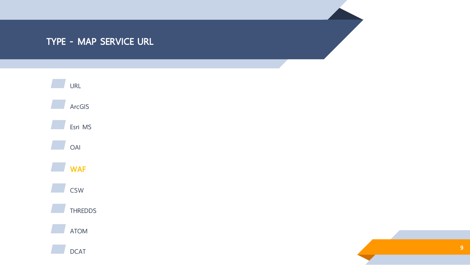## TYPE - MAP SERVICE URL

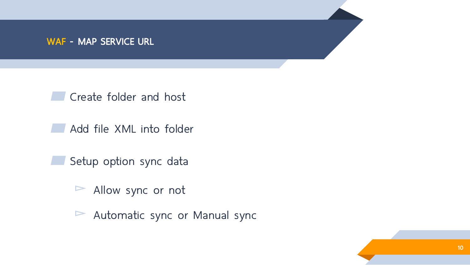### WAF - MAP SERVICE URL

Create folder and host

Add file XML into folder

Setup option sync data

▻ Allow sync or not

▻ Automatic sync or Manual sync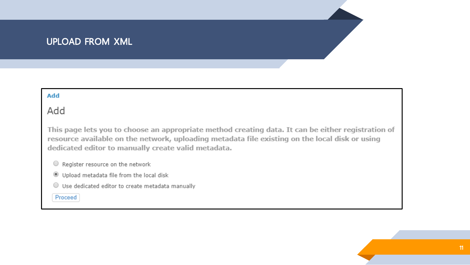### **UPLOAD FROM XML**

#### **Add**

#### Add

This page lets you to choose an appropriate method creating data. It can be either registration of resource available on the network, uploading metadata file existing on the local disk or using dedicated editor to manually create valid metadata.

- $\circlearrowright$  Register resource on the network
- Upload metadata file from the local disk
- Use dedicated editor to create metadata manually

#### Proceed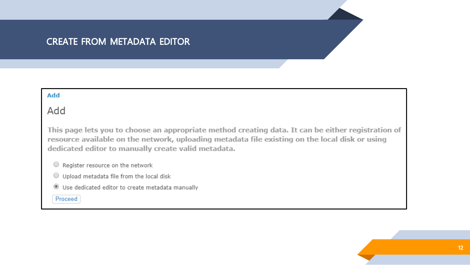#### **CREATE FROM METADATA EDITOR**

#### Add

#### Add

This page lets you to choose an appropriate method creating data. It can be either registration of resource available on the network, uploading metadata file existing on the local disk or using dedicated editor to manually create valid metadata.

- $\bigcirc$  Register resource on the network
- Upload metadata file from the local disk
- Use dedicated editor to create metadata manually

#### Proceed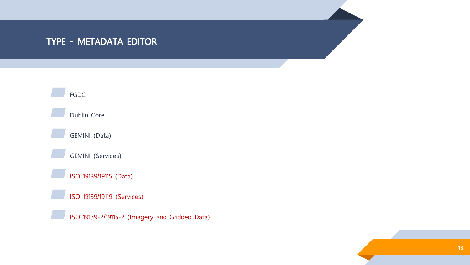# TYPE - METADATA EDITOR

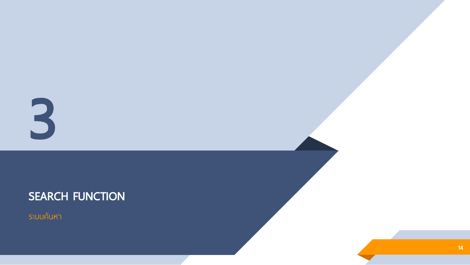3

# SEARCH FUNCTION

ระบบค้นหา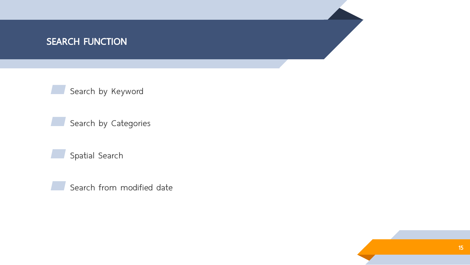

Search by Keyword

Search by Categories

Spatial Search

Search from modified date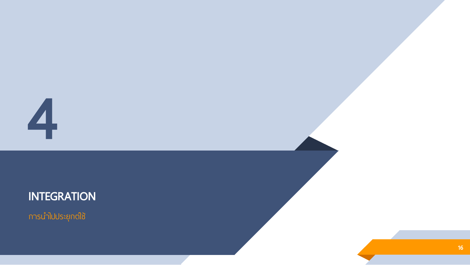

INTEGRATION

การนำไปประยุกต์ใช้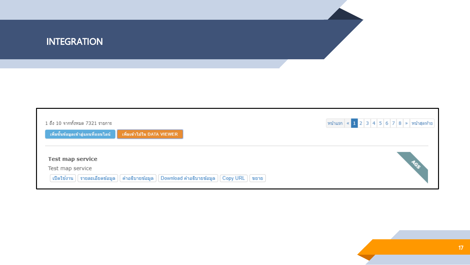## INTEGRATION